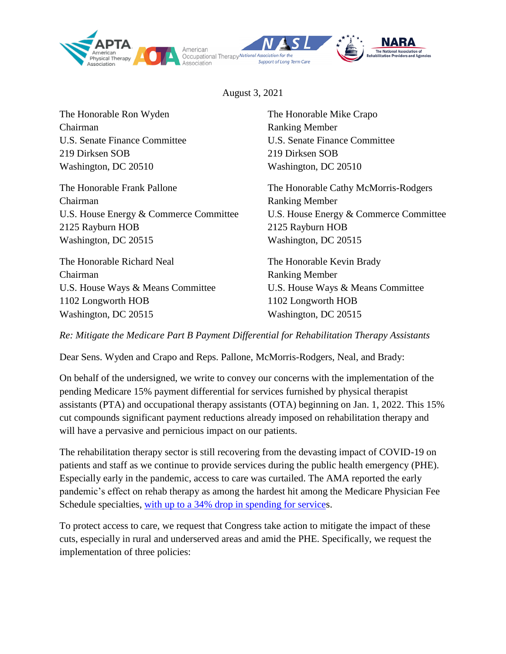

August 3, 2021

The Honorable Ron Wyden The Honorable Mike Crapo Chairman Ranking Member U.S. Senate Finance Committee U.S. Senate Finance Committee 219 Dirksen SOB 219 Dirksen SOB Washington, DC 20510 Washington, DC 20510

The Honorable Frank Pallone The Honorable Cathy McMorris-Rodgers Chairman Ranking Member U.S. House Energy & Commerce Committee U.S. House Energy & Commerce Committee 2125 Rayburn HOB 2125 Rayburn HOB Washington, DC 20515 Washington, DC 20515

The Honorable Richard Neal The Honorable Kevin Brady Chairman Ranking Member U.S. House Ways & Means Committee U.S. House Ways & Means Committee 1102 Longworth HOB 1102 Longworth HOB Washington, DC 20515 Washington, DC 20515

*Re: Mitigate the Medicare Part B Payment Differential for Rehabilitation Therapy Assistants*

Dear Sens. Wyden and Crapo and Reps. Pallone, McMorris-Rodgers, Neal, and Brady:

On behalf of the undersigned, we write to convey our concerns with the implementation of the pending Medicare 15% payment differential for services furnished by physical therapist assistants (PTA) and occupational therapy assistants (OTA) beginning on Jan. 1, 2022. This 15% cut compounds significant payment reductions already imposed on rehabilitation therapy and will have a pervasive and pernicious impact on our patients.

The rehabilitation therapy sector is still recovering from the devasting impact of COVID-19 on patients and staff as we continue to provide services during the public health emergency (PHE). Especially early in the pandemic, access to care was curtailed. The AMA reported the early pandemic's effect on rehab therapy as among the hardest hit among the Medicare Physician Fee Schedule specialties, [with up to a 34% drop in spending for services](https://www.ama-assn.org/system/files/2021-03/prp-covid-19-medicare-physician-spending.pdf).

To protect access to care, we request that Congress take action to mitigate the impact of these cuts, especially in rural and underserved areas and amid the PHE. Specifically, we request the implementation of three policies: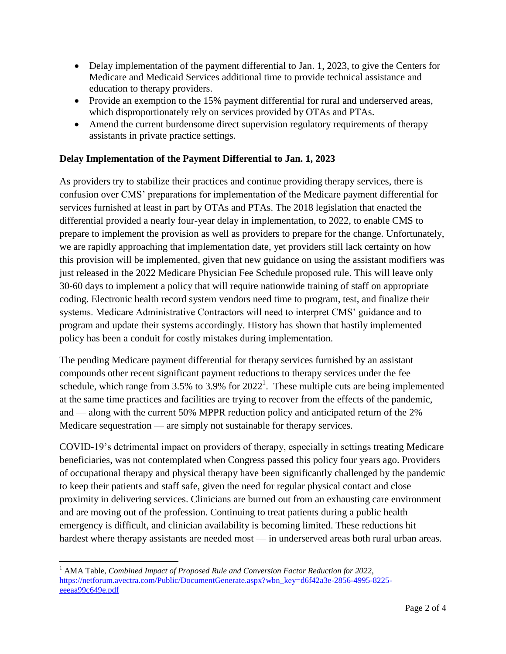- Delay implementation of the payment differential to Jan. 1, 2023, to give the Centers for Medicare and Medicaid Services additional time to provide technical assistance and education to therapy providers.
- Provide an exemption to the 15% payment differential for rural and underserved areas, which disproportionately rely on services provided by OTAs and PTAs.
- Amend the current burdensome direct supervision regulatory requirements of therapy assistants in private practice settings.

## **Delay Implementation of the Payment Differential to Jan. 1, 2023**

As providers try to stabilize their practices and continue providing therapy services, there is confusion over CMS' preparations for implementation of the Medicare payment differential for services furnished at least in part by OTAs and PTAs. The 2018 legislation that enacted the differential provided a nearly four-year delay in implementation, to 2022, to enable CMS to prepare to implement the provision as well as providers to prepare for the change. Unfortunately, we are rapidly approaching that implementation date, yet providers still lack certainty on how this provision will be implemented, given that new guidance on using the assistant modifiers was just released in the 2022 Medicare Physician Fee Schedule proposed rule. This will leave only 30-60 days to implement a policy that will require nationwide training of staff on appropriate coding. Electronic health record system vendors need time to program, test, and finalize their systems. Medicare Administrative Contractors will need to interpret CMS' guidance and to program and update their systems accordingly. History has shown that hastily implemented policy has been a conduit for costly mistakes during implementation.

The pending Medicare payment differential for therapy services furnished by an assistant compounds other recent significant payment reductions to therapy services under the fee schedule, which range from 3.5% to 3.9% for  $2022^1$ . These multiple cuts are being implemented at the same time practices and facilities are trying to recover from the effects of the pandemic, and — along with the current 50% MPPR reduction policy and anticipated return of the 2% Medicare sequestration — are simply not sustainable for therapy services.

COVID-19's detrimental impact on providers of therapy, especially in settings treating Medicare beneficiaries, was not contemplated when Congress passed this policy four years ago. Providers of occupational therapy and physical therapy have been significantly challenged by the pandemic to keep their patients and staff safe, given the need for regular physical contact and close proximity in delivering services. Clinicians are burned out from an exhausting care environment and are moving out of the profession. Continuing to treat patients during a public health emergency is difficult, and clinician availability is becoming limited. These reductions hit hardest where therapy assistants are needed most — in underserved areas both rural urban areas.

 $\overline{\phantom{a}}$ <sup>1</sup> AMA Table, *Combined Impact of Proposed Rule and Conversion Factor Reduction for 2022,* [https://netforum.avectra.com/Public/DocumentGenerate.aspx?wbn\\_key=d6f42a3e-2856-4995-8225](https://netforum.avectra.com/Public/DocumentGenerate.aspx?wbn_key=d6f42a3e-2856-4995-8225-eeeaa99c649e.pdf) [eeeaa99c649e.pdf](https://netforum.avectra.com/Public/DocumentGenerate.aspx?wbn_key=d6f42a3e-2856-4995-8225-eeeaa99c649e.pdf)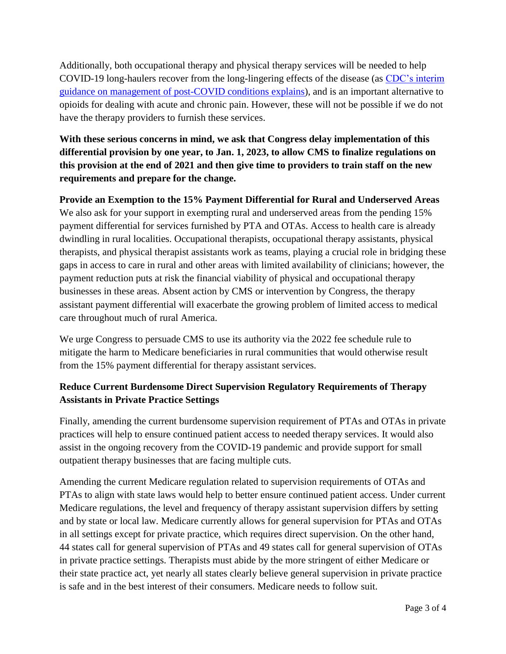Additionally, both occupational therapy and physical therapy services will be needed to help COVID-19 long-haulers recover from the long-lingering effects of the disease (as [CDC's interim](https://www.cdc.gov/coronavirus/2019-ncov/hcp/clinical-care/post-covid-management.html)  [guidance on management of post-COVID conditions explains\)](https://www.cdc.gov/coronavirus/2019-ncov/hcp/clinical-care/post-covid-management.html), and is an important alternative to opioids for dealing with acute and chronic pain. However, these will not be possible if we do not have the therapy providers to furnish these services.

**With these serious concerns in mind, we ask that Congress delay implementation of this differential provision by one year, to Jan. 1, 2023, to allow CMS to finalize regulations on this provision at the end of 2021 and then give time to providers to train staff on the new requirements and prepare for the change.**

**Provide an Exemption to the 15% Payment Differential for Rural and Underserved Areas** We also ask for your support in exempting rural and underserved areas from the pending 15% payment differential for services furnished by PTA and OTAs. Access to health care is already dwindling in rural localities. Occupational therapists, occupational therapy assistants, physical therapists, and physical therapist assistants work as teams, playing a crucial role in bridging these gaps in access to care in rural and other areas with limited availability of clinicians; however, the payment reduction puts at risk the financial viability of physical and occupational therapy businesses in these areas. Absent action by CMS or intervention by Congress, the therapy assistant payment differential will exacerbate the growing problem of limited access to medical care throughout much of rural America.

We urge Congress to persuade CMS to use its authority via the 2022 fee schedule rule to mitigate the harm to Medicare beneficiaries in rural communities that would otherwise result from the 15% payment differential for therapy assistant services.

## **Reduce Current Burdensome Direct Supervision Regulatory Requirements of Therapy Assistants in Private Practice Settings**

Finally, amending the current burdensome supervision requirement of PTAs and OTAs in private practices will help to ensure continued patient access to needed therapy services. It would also assist in the ongoing recovery from the COVID-19 pandemic and provide support for small outpatient therapy businesses that are facing multiple cuts.

Amending the current Medicare regulation related to supervision requirements of OTAs and PTAs to align with state laws would help to better ensure continued patient access. Under current Medicare regulations, the level and frequency of therapy assistant supervision differs by setting and by state or local law. Medicare currently allows for general supervision for PTAs and OTAs in all settings except for private practice, which requires direct supervision. On the other hand, 44 states call for general supervision of PTAs and 49 states call for general supervision of OTAs in private practice settings. Therapists must abide by the more stringent of either Medicare or their state practice act, yet nearly all states clearly believe general supervision in private practice is safe and in the best interest of their consumers. Medicare needs to follow suit.